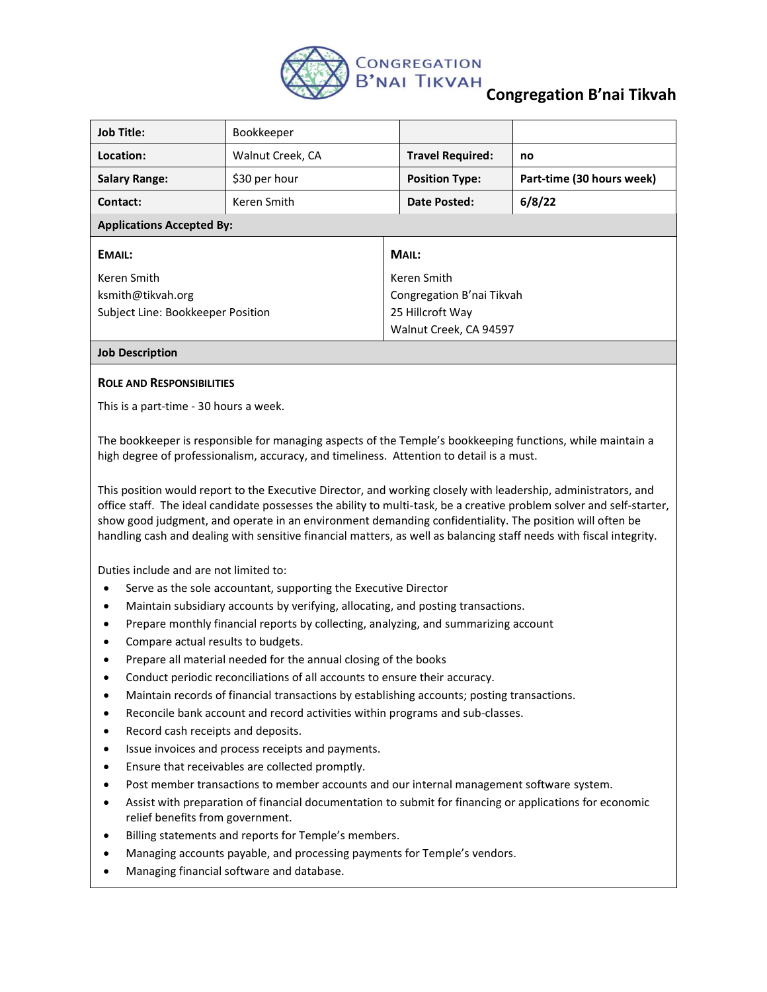

## **Congregation B'nai Tikvah**

| <b>Job Title:</b>                 | Bookkeeper       |                           |                           |  |
|-----------------------------------|------------------|---------------------------|---------------------------|--|
| Location:                         | Walnut Creek, CA | <b>Travel Required:</b>   | no                        |  |
| <b>Salary Range:</b>              | \$30 per hour    | <b>Position Type:</b>     | Part-time (30 hours week) |  |
| Contact:                          | Keren Smith      | Date Posted:              | 6/8/22                    |  |
| <b>Applications Accepted By:</b>  |                  |                           |                           |  |
| <b>EMAIL:</b>                     |                  | MAIL:                     |                           |  |
| Keren Smith                       |                  | Keren Smith               |                           |  |
| ksmith@tikvah.org                 |                  | Congregation B'nai Tikvah |                           |  |
| Subject Line: Bookkeeper Position |                  | 25 Hillcroft Way          |                           |  |
|                                   |                  | Walnut Creek, CA 94597    |                           |  |
| <b>Job Description</b>            |                  |                           |                           |  |

## **ROLE AND RESPONSIBILITIES**

This is a part-time - 30 hours a week.

The bookkeeper is responsible for managing aspects of the Temple's bookkeeping functions, while maintain a high degree of professionalism, accuracy, and timeliness. Attention to detail is a must.

This position would report to the Executive Director, and working closely with leadership, administrators, and office staff. The ideal candidate possesses the ability to multi-task, be a creative problem solver and self-starter, show good judgment, and operate in an environment demanding confidentiality. The position will often be handling cash and dealing with sensitive financial matters, as well as balancing staff needs with fiscal integrity.

Duties include and are not limited to:

- Serve as the sole accountant, supporting the Executive Director
- Maintain subsidiary accounts by verifying, allocating, and posting transactions.
- Prepare monthly financial reports by collecting, analyzing, and summarizing account
- Compare actual results to budgets.
- Prepare all material needed for the annual closing of the books
- Conduct periodic reconciliations of all accounts to ensure their accuracy.
- Maintain records of financial transactions by establishing accounts; posting transactions.
- Reconcile bank account and record activities within programs and sub-classes.
- Record cash receipts and deposits.
- Issue invoices and process receipts and payments.
- Ensure that receivables are collected promptly.
- Post member transactions to member accounts and our internal management software system.
- Assist with preparation of financial documentation to submit for financing or applications for economic relief benefits from government.
- Billing statements and reports for Temple's members.
- Managing accounts payable, and processing payments for Temple's vendors.
- Managing financial software and database.